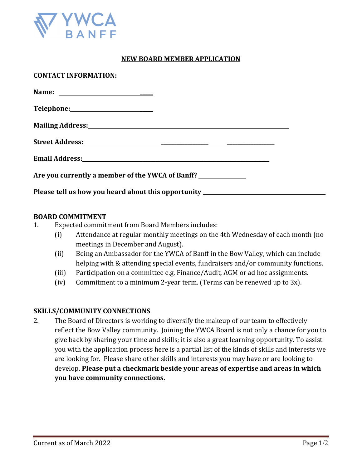

## **NEW BOARD MEMBER APPLICATION**

| <b>CONTACT INFORMATION:</b>                                                                                                                                                                                                    |  |
|--------------------------------------------------------------------------------------------------------------------------------------------------------------------------------------------------------------------------------|--|
|                                                                                                                                                                                                                                |  |
|                                                                                                                                                                                                                                |  |
| Mailing Address: National Address: National Address: National Address: National Address: National Address: National Address: National Address: National Address: National Address: National Address: National Address: Nationa |  |
|                                                                                                                                                                                                                                |  |
| Email Address: No. 2016. The Second State of Address and Address:                                                                                                                                                              |  |
| Are you currently a member of the YWCA of Banff?                                                                                                                                                                               |  |
| Please tell us how you heard about this opportunity ____________________________                                                                                                                                               |  |

## **BOARD COMMITMENT**

- 1. Expected commitment from Board Members includes:
	- (i) Attendance at regular monthly meetings on the 4th Wednesday of each month (no meetings in December and August).
	- (ii) Being an Ambassador for the YWCA of Banff in the Bow Valley, which can include helping with & attending special events, fundraisers and/or community functions.
	- (iii) Participation on a committee e.g. Finance/Audit, AGM or ad hoc assignments.
	- (iv) Commitment to a minimum 2-year term. (Terms can be renewed up to 3x).

## **SKILLS/COMMUNITY CONNECTIONS**

2. The Board of Directors is working to diversify the makeup of our team to effectively reflect the Bow Valley community. Joining the YWCA Board is not only a chance for you to give back by sharing your time and skills; it is also a great learning opportunity. To assist you with the application process here is a partial list of the kinds of skills and interests we are looking for. Please share other skills and interests you may have or are looking to develop. **Please put a checkmark beside your areas of expertise and areas in which you have community connections.**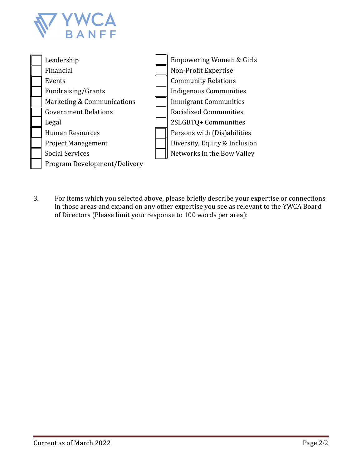



3. For items which you selected above, please briefly describe your expertise or connections in those areas and expand on any other expertise you see as relevant to the YWCA Board of Directors (Please limit your response to 100 words per area):